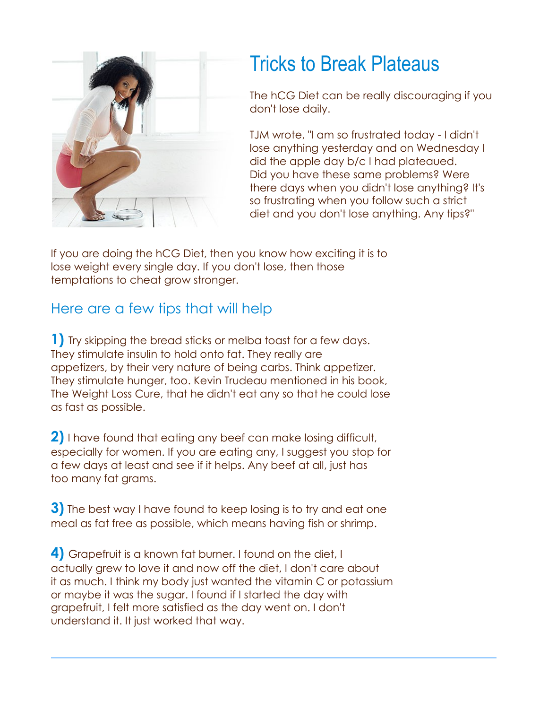

## Tricks to Break Plateaus

The hCG Diet can be really discouraging if you don't lose daily.

TJM wrote, "I am so frustrated today - I didn't lose anything yesterday and on Wednesday I did the apple day b/c I had plateaued. Did you have these same problems? Were there days when you didn't lose anything? It's so frustrating when you follow such a strict diet and you don't lose anything. Any tips?"

If you are doing the hCG Diet, then you know how exciting it is to lose weight every single day. If you don't lose, then those temptations to cheat grow stronger.

## Here are a few tips that will help

**1)** Try skipping the bread sticks or melba toast for a few days. They stimulate insulin to hold onto fat. They really are appetizers, by their very nature of being carbs. Think appetizer. They stimulate hunger, too. Kevin Trudeau mentioned in his book, The Weight Loss Cure, that he didn't eat any so that he could lose as fast as possible.

**2)** I have found that eating any beef can make losing difficult, especially for women. If you are eating any, I suggest you stop for a few days at least and see if it helps. Any beef at all, just has too many fat grams.

**3)** The best way I have found to keep losing is to try and eat one meal as fat free as possible, which means having fish or shrimp.

**4)** Grapefruit is a known fat burner. I found on the diet, I actually grew to love it and now off the diet, I don't care about it as much. I think my body just wanted the vitamin C or potassium or maybe it was the sugar. I found if I started the day with grapefruit, I felt more satisfied as the day went on. I don't understand it. It just worked that way.